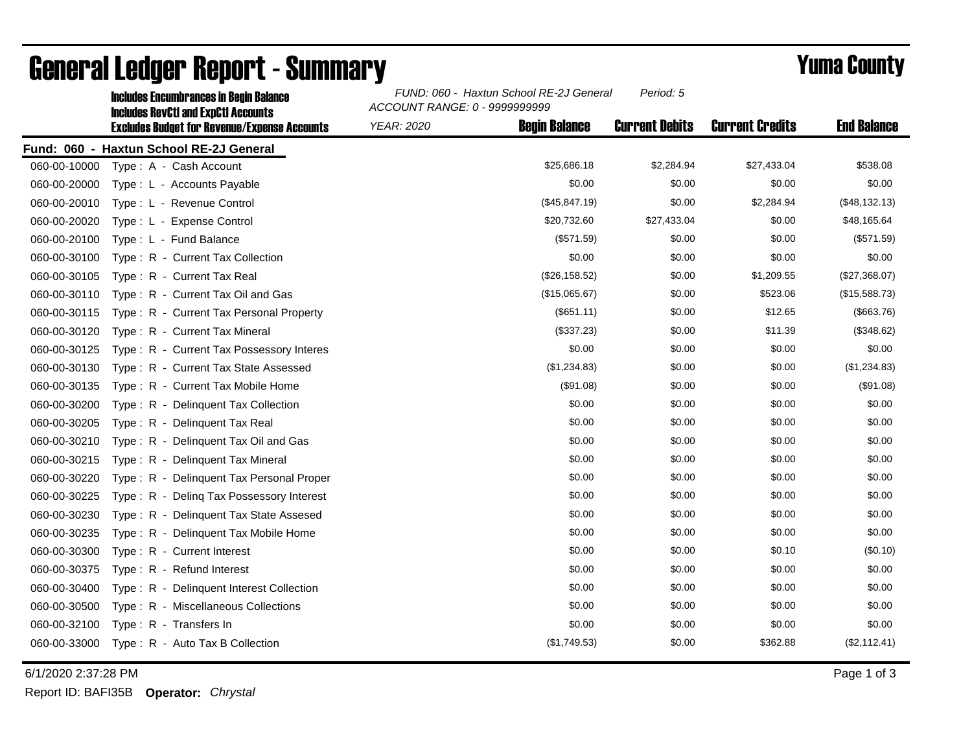|              | <b>Includes Encumbrances in Begin Balance</b><br><b>Includes RevCtI and ExpCtI Accounts</b><br><b>Excludes Budget for Revenue/Expense Accounts</b> | FUND: 060 - Haxtun School RE-2J General<br>Period: 5<br>ACCOUNT RANGE: 0 - 9999999999 |                      |                       |                        |                    |
|--------------|----------------------------------------------------------------------------------------------------------------------------------------------------|---------------------------------------------------------------------------------------|----------------------|-----------------------|------------------------|--------------------|
|              |                                                                                                                                                    | <b>YEAR: 2020</b>                                                                     | <b>Begin Balance</b> | <b>Current Debits</b> | <b>Current Credits</b> | <b>End Balance</b> |
|              | Fund: 060 - Haxtun School RE-2J General                                                                                                            |                                                                                       |                      |                       |                        |                    |
| 060-00-10000 | Type: A - Cash Account                                                                                                                             |                                                                                       | \$25,686.18          | \$2,284.94            | \$27,433.04            | \$538.08           |
| 060-00-20000 | Type: L - Accounts Payable                                                                                                                         |                                                                                       | \$0.00               | \$0.00                | \$0.00                 | \$0.00             |
| 060-00-20010 | Type: L - Revenue Control                                                                                                                          |                                                                                       | (\$45,847.19)        | \$0.00                | \$2,284.94             | (\$48,132.13)      |
| 060-00-20020 | Type: L - Expense Control                                                                                                                          |                                                                                       | \$20,732.60          | \$27,433.04           | \$0.00                 | \$48,165.64        |
| 060-00-20100 | Type: L - Fund Balance                                                                                                                             |                                                                                       | (\$571.59)           | \$0.00                | \$0.00                 | (\$571.59)         |
| 060-00-30100 | Type: R - Current Tax Collection                                                                                                                   |                                                                                       | \$0.00               | \$0.00                | \$0.00                 | \$0.00             |
| 060-00-30105 | Type: R - Current Tax Real                                                                                                                         |                                                                                       | (\$26,158.52)        | \$0.00                | \$1,209.55             | (\$27,368.07)      |
| 060-00-30110 | Type: R - Current Tax Oil and Gas                                                                                                                  |                                                                                       | (\$15,065.67)        | \$0.00                | \$523.06               | (\$15,588.73)      |
| 060-00-30115 | Type: R - Current Tax Personal Property                                                                                                            |                                                                                       | $($ \$651.11)        | \$0.00                | \$12.65                | (\$663.76)         |
| 060-00-30120 | Type: R - Current Tax Mineral                                                                                                                      |                                                                                       | (\$337.23)           | \$0.00                | \$11.39                | (\$348.62)         |
| 060-00-30125 | Type: R - Current Tax Possessory Interes                                                                                                           |                                                                                       | \$0.00               | \$0.00                | \$0.00                 | \$0.00             |
| 060-00-30130 | Type: R - Current Tax State Assessed                                                                                                               |                                                                                       | (\$1,234.83)         | \$0.00                | \$0.00                 | (\$1,234.83)       |
| 060-00-30135 | Type: R - Current Tax Mobile Home                                                                                                                  |                                                                                       | (\$91.08)            | \$0.00                | \$0.00                 | (\$91.08)          |
| 060-00-30200 | Type: R - Delinquent Tax Collection                                                                                                                |                                                                                       | \$0.00               | \$0.00                | \$0.00                 | \$0.00             |
| 060-00-30205 | Type: R - Delinguent Tax Real                                                                                                                      |                                                                                       | \$0.00               | \$0.00                | \$0.00                 | \$0.00             |
| 060-00-30210 | Type: R - Delinquent Tax Oil and Gas                                                                                                               |                                                                                       | \$0.00               | \$0.00                | \$0.00                 | \$0.00             |
| 060-00-30215 | Type: R - Delinquent Tax Mineral                                                                                                                   |                                                                                       | \$0.00               | \$0.00                | \$0.00                 | \$0.00             |
| 060-00-30220 | Type: R - Delinguent Tax Personal Proper                                                                                                           |                                                                                       | \$0.00               | \$0.00                | \$0.00                 | \$0.00             |
| 060-00-30225 | Type: R - Deling Tax Possessory Interest                                                                                                           |                                                                                       | \$0.00               | \$0.00                | \$0.00                 | \$0.00             |
| 060-00-30230 | Type: R - Delinquent Tax State Assesed                                                                                                             |                                                                                       | \$0.00               | \$0.00                | \$0.00                 | \$0.00             |
| 060-00-30235 | Type: R - Delinquent Tax Mobile Home                                                                                                               |                                                                                       | \$0.00               | \$0.00                | \$0.00                 | \$0.00             |
| 060-00-30300 | Type: R - Current Interest                                                                                                                         |                                                                                       | \$0.00               | \$0.00                | \$0.10                 | (\$0.10)           |
| 060-00-30375 | Type: R - Refund Interest                                                                                                                          |                                                                                       | \$0.00               | \$0.00                | \$0.00                 | \$0.00             |
| 060-00-30400 | Type: R - Delinquent Interest Collection                                                                                                           |                                                                                       | \$0.00               | \$0.00                | \$0.00                 | \$0.00             |
| 060-00-30500 | Type: R - Miscellaneous Collections                                                                                                                |                                                                                       | \$0.00               | \$0.00                | \$0.00                 | \$0.00             |
| 060-00-32100 | Type: R - Transfers In                                                                                                                             |                                                                                       | \$0.00               | \$0.00                | \$0.00                 | \$0.00             |
| 060-00-33000 | Type: R - Auto Tax B Collection                                                                                                                    |                                                                                       | (\$1,749.53)         | \$0.00                | \$362.88               | (\$2,112.41)       |

## General Ledger Report - Summary **Example 2018** Yuma County

6/1/2020 2:37:28 PM Page 1 of 3

Report ID: BAFI35B **Operator:** *Chrystal*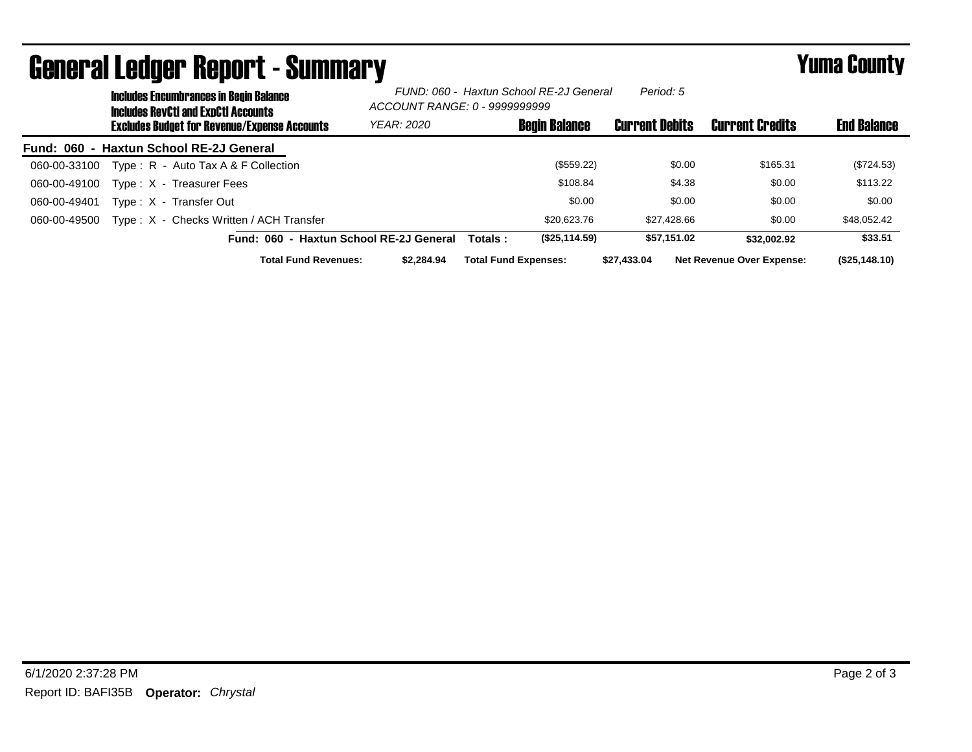|              | uonoi ui evuyoi tiopoi t<br>– Vuillisu v<br><b>Includes Encumbrances in Begin Balance</b><br><b>Includes RevCtI and ExpCtI Accounts</b> | FUND: 060 - Haxtun School RE-2J General<br>ACCOUNT RANGE: 0 - 9999999999 |                             | Period: 5             |                                  |                    |
|--------------|-----------------------------------------------------------------------------------------------------------------------------------------|--------------------------------------------------------------------------|-----------------------------|-----------------------|----------------------------------|--------------------|
|              | <b>Excludes Budget for Revenue/Expense Accounts</b>                                                                                     | <b>YEAR: 2020</b>                                                        | <b>Begin Balance</b>        | <b>Current Debits</b> | <b>Current Credits</b>           | <b>End Balance</b> |
|              | Fund: 060 - Haxtun School RE-2J General                                                                                                 |                                                                          |                             |                       |                                  |                    |
| 060-00-33100 | Type: $R -$ Auto Tax A & F Collection                                                                                                   |                                                                          | (\$559.22)                  | \$0.00                | \$165.31                         | (\$724.53)         |
| 060-00-49100 | Type: X - Treasurer Fees                                                                                                                |                                                                          | \$108.84                    | \$4.38                | \$0.00                           | \$113.22           |
| 060-00-49401 | Type: X - Transfer Out                                                                                                                  |                                                                          | \$0.00                      | \$0.00                | \$0.00                           | \$0.00             |
| 060-00-49500 | Type: X - Checks Written / ACH Transfer                                                                                                 |                                                                          | \$20,623.76                 | \$27.428.66           | \$0.00                           | \$48,052.42        |
|              | Fund: 060 - Haxtun School RE-2J General                                                                                                 |                                                                          | (\$25,114.59)<br>Totals:    | \$57.151.02           | \$32.002.92                      | \$33.51            |
|              | <b>Total Fund Revenues:</b>                                                                                                             | \$2.284.94                                                               | <b>Total Fund Expenses:</b> | \$27.433.04           | <b>Net Revenue Over Expense:</b> | (\$25,148.10)      |

## General Ledger Report - Summary **Figure 2016** Yuma County